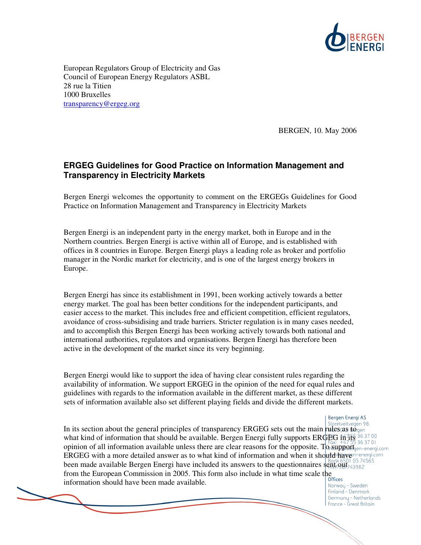

European Regulators Group of Electricity and Gas Council of European Energy Regulators ASBL 28 rue la Titien 1000 Bruxelles transparency@ergeg.org

BERGEN, 10. May 2006

## **ERGEG Guidelines for Good Practice on Information Management and Transparency in Electricity Markets**

Bergen Energi welcomes the opportunity to comment on the ERGEGs Guidelines for Good Practice on Information Management and Transparency in Electricity Markets

Bergen Energi is an independent party in the energy market, both in Europe and in the Northern countries. Bergen Energi is active within all of Europe, and is established with offices in 8 countries in Europe. Bergen Energi plays a leading role as broker and portfolio manager in the Nordic market for electricity, and is one of the largest energy brokers in Europe.

Bergen Energi has since its establishment in 1991, been working actively towards a better energy market. The goal has been better conditions for the independent participants, and easier access to the market. This includes free and efficient competition, efficient regulators, avoidance of cross-subsidising and trade barriers. Stricter regulation is in many cases needed, and to accomplish this Bergen Energi has been working actively towards both national and international authorities, regulators and organisations. Bergen Energi has therefore been active in the development of the market since its very beginning.

Bergen Energi would like to support the idea of having clear consistent rules regarding the availability of information. We support ERGEG in the opinion of the need for equal rules and guidelines with regards to the information available in the different market, as these different sets of information available also set different playing fields and divide the different markets.

Bergen Energi AS

In its section about the general principles of transparency ERGEG sets out the main rules cas to general what kind of information that should be available. Bergen Energi fully supports ERGEG in its opinion of all information available unless there are clear reasons for the opposite. To support  $_{gen\text{-}energicon}$ ERGEG with a more detailed answer as to what kind of information and when it should have n-energicom been made available Bergen Energi have included its answers to the questionnaires sent out from the European Commission in 2005. This form also include in what time scale the information should have been made available.

Norway - Sweden Finland - Denmark Germany - Netherlands France - Great Britain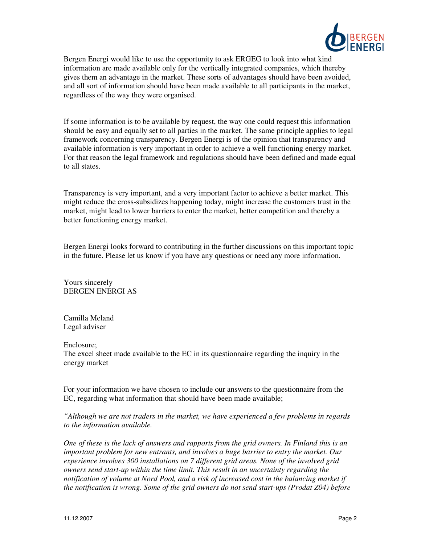

Bergen Energi would like to use the opportunity to ask ERGEG to look into what kind information are made available only for the vertically integrated companies, which thereby gives them an advantage in the market. These sorts of advantages should have been avoided, and all sort of information should have been made available to all participants in the market, regardless of the way they were organised.

If some information is to be available by request, the way one could request this information should be easy and equally set to all parties in the market. The same principle applies to legal framework concerning transparency. Bergen Energi is of the opinion that transparency and available information is very important in order to achieve a well functioning energy market. For that reason the legal framework and regulations should have been defined and made equal to all states.

Transparency is very important, and a very important factor to achieve a better market. This might reduce the cross-subsidizes happening today, might increase the customers trust in the market, might lead to lower barriers to enter the market, better competition and thereby a better functioning energy market.

Bergen Energi looks forward to contributing in the further discussions on this important topic in the future. Please let us know if you have any questions or need any more information.

Yours sincerely BERGEN ENERGI AS

Camilla Meland Legal adviser

Enclosure;

The excel sheet made available to the EC in its questionnaire regarding the inquiry in the energy market

For your information we have chosen to include our answers to the questionnaire from the EC, regarding what information that should have been made available;

*"Although we are not traders in the market, we have experienced a few problems in regards to the information available.* 

*One of these is the lack of answers and rapports from the grid owners. In Finland this is an important problem for new entrants, and involves a huge barrier to entry the market. Our experience involves 300 installations on 7 different grid areas. None of the involved grid owners send start-up within the time limit. This result in an uncertainty regarding the notification of volume at Nord Pool, and a risk of increased cost in the balancing market if the notification is wrong. Some of the grid owners do not send start-ups (Prodat Z04) before*